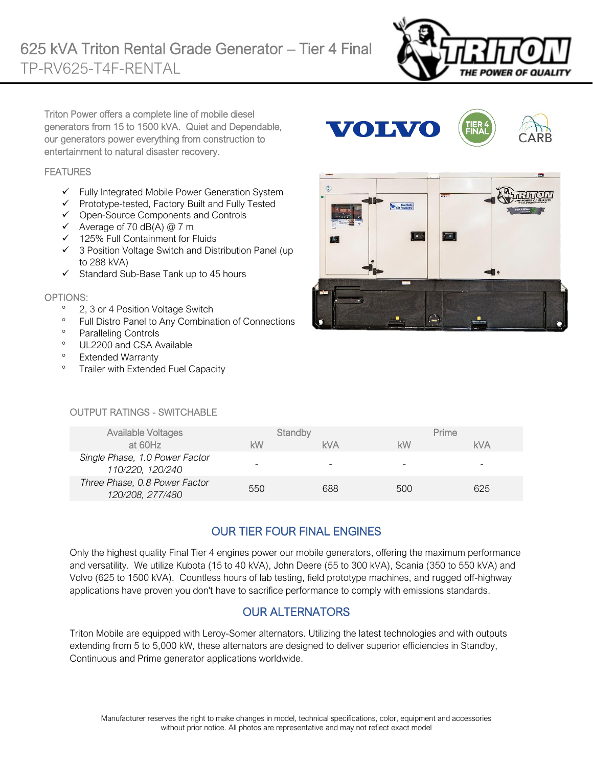

Triton Power offers a complete line of mobile diesel generators from 15 to 1500 kVA. Quiet and Dependable, our generators power everything from construction to entertainment to natural disaster recovery.

#### **FEATURES**

- ✓ Fully Integrated Mobile Power Generation System
- ✓ Prototype-tested, Factory Built and Fully Tested
- ✓ Open-Source Components and Controls
- $\checkmark$  Average of 70 dB(A) @ 7 m
- ✓ 125% Full Containment for Fluids
- ✓ 3 Position Voltage Switch and Distribution Panel (up to 288 kVA)
- ✓ Standard Sub-Base Tank up to 45 hours

#### OPTIONS:

- <sup>o</sup> 2, 3 or 4 Position Voltage Switch
- <sup>o</sup> Full Distro Panel to Any Combination of Connections
- <sup>o</sup> Paralleling Controls
- <sup>o</sup> UL2200 and CSA Available
- <sup>o</sup> Extended Warranty
- <sup>o</sup> Trailer with Extended Fuel Capacity





#### OUTPUT RATINGS - SWITCHABLE

| <b>Available Voltages</b>                          |     | Standby |     | Prime      |
|----------------------------------------------------|-----|---------|-----|------------|
| at 60Hz                                            | kW  | kVA     | kW  | <b>kVA</b> |
| Single Phase, 1.0 Power Factor<br>110/220, 120/240 |     |         | -   | -          |
| Three Phase, 0.8 Power Factor<br>120/208, 277/480  | 550 | 688     | 500 | 625        |

## OUR TIER FOUR FINAL ENGINES

Only the highest quality Final Tier 4 engines power our mobile generators, offering the maximum performance and versatility. We utilize Kubota (15 to 40 kVA), John Deere (55 to 300 kVA), Scania (350 to 550 kVA) and Volvo (625 to 1500 kVA). Countless hours of lab testing, field prototype machines, and rugged off-highway applications have proven you don't have to sacrifice performance to comply with emissions standards.

#### OUR ALTERNATORS

Triton Mobile are equipped with Leroy-Somer alternators. Utilizing the latest technologies and with outputs extending from 5 to 5,000 kW, these alternators are designed to deliver superior efficiencies in Standby, Continuous and Prime generator applications worldwide.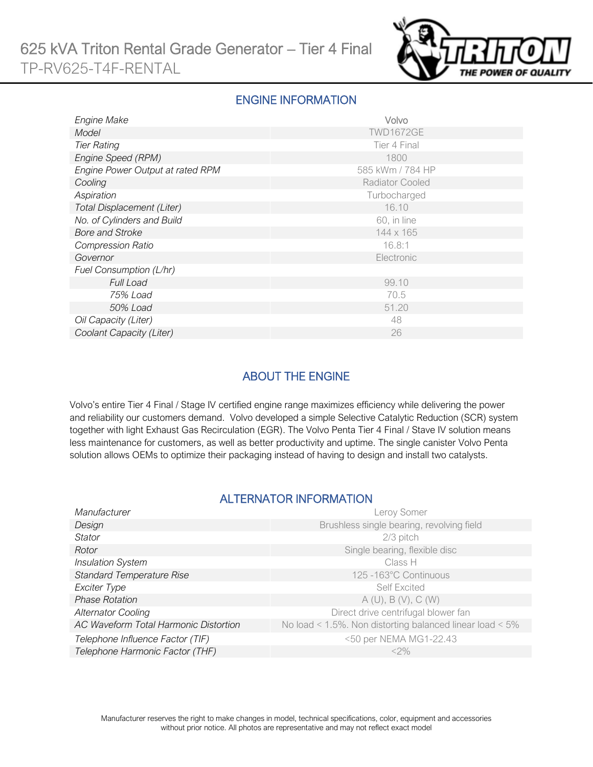

#### ENGINE INFORMATION

| Engine Make                      | Volvo            |
|----------------------------------|------------------|
| Model                            | <b>TWD1672GE</b> |
| <b>Tier Rating</b>               | Tier 4 Final     |
| Engine Speed (RPM)               | 1800             |
| Engine Power Output at rated RPM | 585 kWm / 784 HP |
| Cooling                          | Radiator Cooled  |
| Aspiration                       | Turbocharged     |
| Total Displacement (Liter)       | 16.10            |
| No. of Cylinders and Build       | 60, in line      |
| <b>Bore and Stroke</b>           | 144 x 165        |
| <b>Compression Ratio</b>         | 16.8:1           |
| Governor                         | Electronic       |
| Fuel Consumption (L/hr)          |                  |
| <b>Full Load</b>                 | 99.10            |
| 75% Load                         | 70.5             |
| 50% Load                         | 51.20            |
| Oil Capacity (Liter)             | 48               |
| Coolant Capacity (Liter)         | 26               |

## ABOUT THE ENGINE

Volvo's entire Tier 4 Final / Stage IV certified engine range maximizes efficiency while delivering the power and reliability our customers demand. Volvo developed a simple Selective Catalytic Reduction (SCR) system together with light Exhaust Gas Recirculation (EGR). The Volvo Penta Tier 4 Final / Stave IV solution means less maintenance for customers, as well as better productivity and uptime. The single canister Volvo Penta solution allows OEMs to optimize their packaging instead of having to design and install two catalysts.

#### ALTERNATOR INFORMATION

| Manufacturer                          | Leroy Somer                                                     |
|---------------------------------------|-----------------------------------------------------------------|
| Design                                | Brushless single bearing, revolving field                       |
| <b>Stator</b>                         | $2/3$ pitch                                                     |
| Rotor                                 | Single bearing, flexible disc                                   |
| <b>Insulation System</b>              | Class H                                                         |
| <b>Standard Temperature Rise</b>      | 125 -163°C Continuous                                           |
| Exciter Type                          | <b>Self Excited</b>                                             |
| <b>Phase Rotation</b>                 | A(U), B(V), C(W)                                                |
| <b>Alternator Cooling</b>             | Direct drive centrifugal blower fan                             |
| AC Waveform Total Harmonic Distortion | No load < $1.5\%$ . Non distorting balanced linear load < $5\%$ |
| Telephone Influence Factor (TIF)      | <50 per NEMA MG1-22.43                                          |
| Telephone Harmonic Factor (THF)       | $<$ 2%                                                          |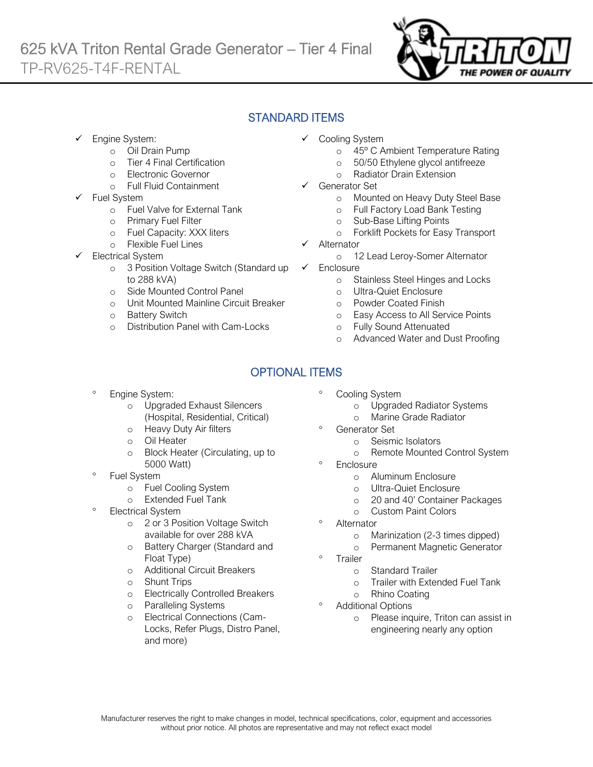

## STANDARD ITEMS

- Engine System:
	- o Oil Drain Pump
	- o Tier 4 Final Certification
	- o Electronic Governor
	- o Full Fluid Containment
- Fuel System
	- o Fuel Valve for External Tank
	- o Primary Fuel Filter
	- o Fuel Capacity: XXX liters
	- o Flexible Fuel Lines
- Electrical System
	- o 3 Position Voltage Switch (Standard up to 288 kVA)
	- o Side Mounted Control Panel
	- o Unit Mounted Mainline Circuit Breaker
	- o Battery Switch
	- o Distribution Panel with Cam-Locks
- ✓ Cooling System
	- o 45º C Ambient Temperature Rating
	- o 50/50 Ethylene glycol antifreeze
	- o Radiator Drain Extension
- Generator Set
	- o Mounted on Heavy Duty Steel Base
	- o Full Factory Load Bank Testing
	- o Sub-Base Lifting Points
	- o Forklift Pockets for Easy Transport
- **Alternator** 
	- o 12 Lead Leroy-Somer Alternator
- ✓ Enclosure
	- o Stainless Steel Hinges and Locks
	- o Ultra-Quiet Enclosure
	- o Powder Coated Finish
	- o Easy Access to All Service Points
	- o Fully Sound Attenuated
	- o Advanced Water and Dust Proofing

## OPTIONAL ITEMS

- Engine System:
	- o Upgraded Exhaust Silencers (Hospital, Residential, Critical)
	- o Heavy Duty Air filters
	- o Oil Heater
	- o Block Heater (Circulating, up to 5000 Watt)
- Fuel System
	- o Fuel Cooling System
	- o Extended Fuel Tank
- <sup>o</sup> Electrical System
	- o 2 or 3 Position Voltage Switch available for over 288 kVA
	- o Battery Charger (Standard and Float Type)
	- o Additional Circuit Breakers
	- o Shunt Trips
	- o Electrically Controlled Breakers
	- o Paralleling Systems
	- o Electrical Connections (Cam-Locks, Refer Plugs, Distro Panel, and more)
- Cooling System
	- o Upgraded Radiator Systems
	- o Marine Grade Radiator
- <sup>o</sup> Generator Set
	- o Seismic Isolators
		- o Remote Mounted Control System
- **Enclosure** 
	- o Aluminum Enclosure
	- o Ultra-Quiet Enclosure
	- o 20 and 40' Container Packages
	- o Custom Paint Colors
- Alternator
	- o Marinization (2-3 times dipped)
	- o Permanent Magnetic Generator
- Trailer
	- o Standard Trailer
	- o Trailer with Extended Fuel Tank
	- o Rhino Coating
- Additional Options
	- o Please inquire, Triton can assist in engineering nearly any option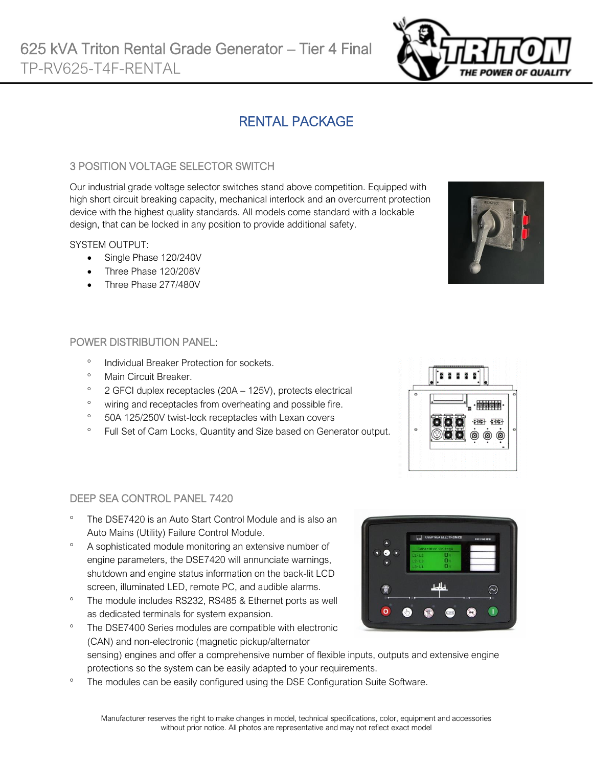# RENTAL PACKAGE

#### 3 POSITION VOLTAGE SELECTOR SWITCH

Our industrial grade voltage selector switches stand above competition. Equipped with high short circuit breaking capacity, mechanical interlock and an overcurrent protection device with the highest quality standards. All models come standard with a lockable design, that can be locked in any position to provide additional safety.

#### SYSTEM OUTPUT:

- Single Phase 120/240V
- Three Phase 120/208V
- Three Phase 277/480V

#### POWER DISTRIBUTION PANEL:

- <sup>o</sup> Individual Breaker Protection for sockets.
- <sup>o</sup> Main Circuit Breaker
- $\degree$  2 GFCI duplex receptacles (20A 125V), protects electrical
- <sup>o</sup> wiring and receptacles from overheating and possible fire.
- <sup>o</sup> 50A 125/250V twist-lock receptacles with Lexan covers
- <sup>o</sup> Full Set of Cam Locks, Quantity and Size based on Generator output.



- The DSE7420 is an Auto Start Control Module and is also an Auto Mains (Utility) Failure Control Module.
- A sophisticated module monitoring an extensive number of engine parameters, the DSE7420 will annunciate warnings, shutdown and engine status information on the back-lit LCD screen, illuminated LED, remote PC, and audible alarms.
- <sup>o</sup> The module includes RS232, RS485 & Ethernet ports as well as dedicated terminals for system expansion.
- The DSE7400 Series modules are compatible with electronic (CAN) and non-electronic (magnetic pickup/alternator sensing) engines and offer a comprehensive number of flexible inputs, outputs and extensive engine protections so the system can be easily adapted to your requirements.
- The modules can be easily configured using the DSE Configuration Suite Software.